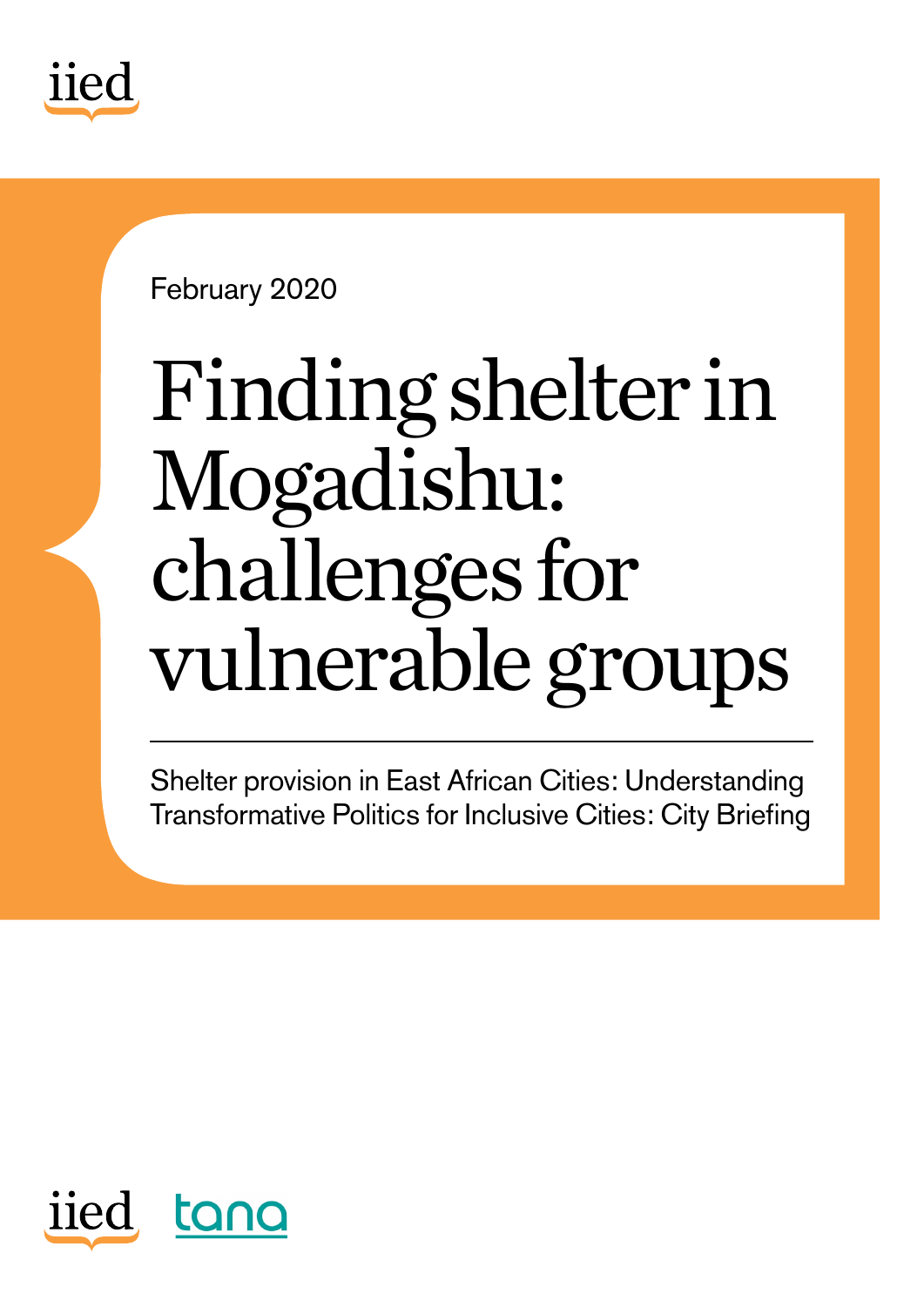

February 2020

# Finding shelter in Mogadishu: challenges for vulnerable groups

Shelter provision in East African Cities: Understanding Transformative Politics for Inclusive Cities: City Briefing

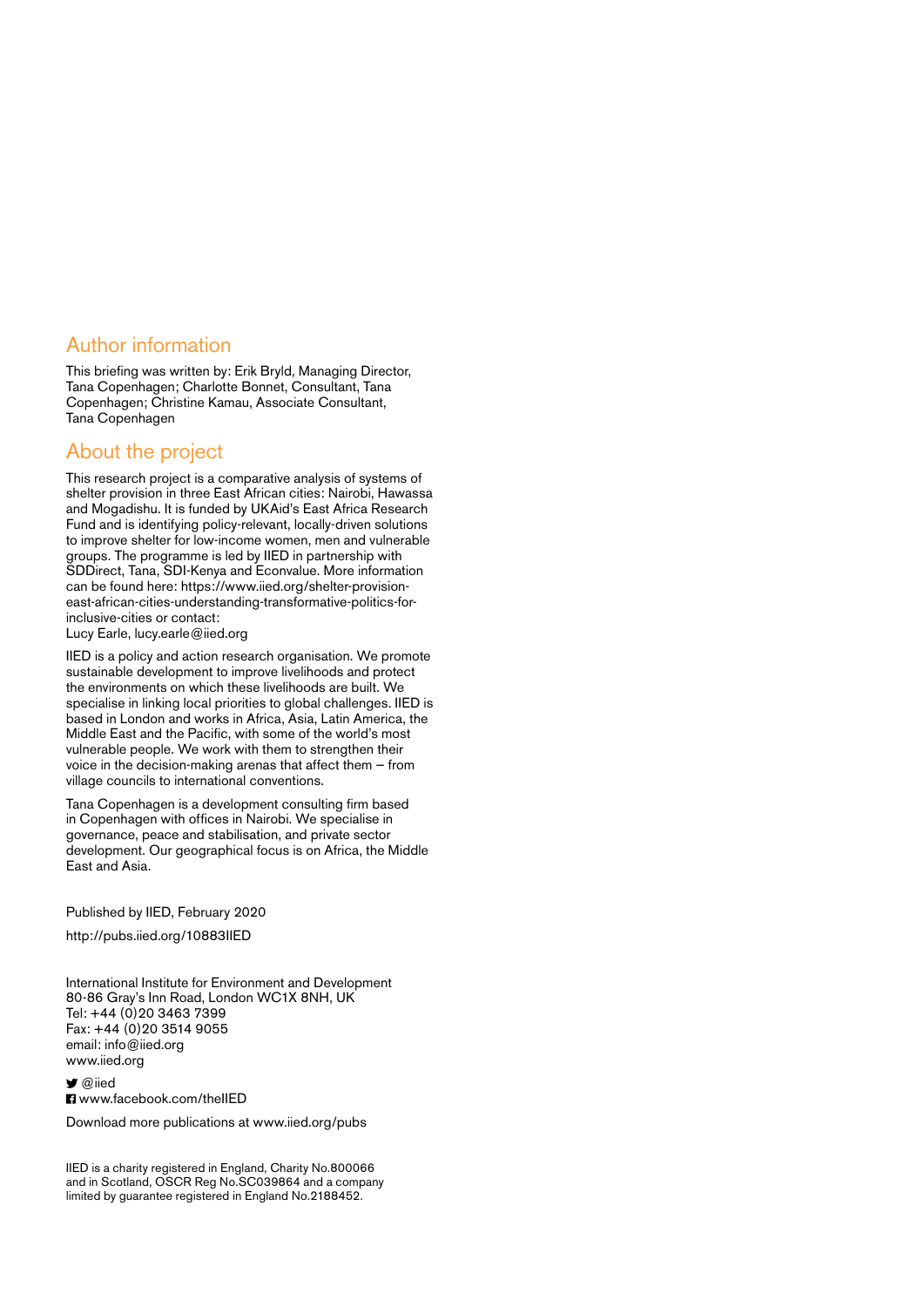#### Author information

This briefing was written by: Erik Bryld, Managing Director, Tana Copenhagen; Charlotte Bonnet, Consultant, Tana Copenhagen; Christine Kamau, Associate Consultant, Tana Copenhagen

#### About the project

This research project is a comparative analysis of systems of shelter provision in three East African cities: Nairobi, Hawassa and Mogadishu. It is funded by UKAid's East Africa Research Fund and is identifying policy-relevant, locally-driven solutions to improve shelter for low-income women, men and vulnerable groups. The programme is led by IIED in partnership with SDDirect, Tana, SDI-Kenya and Econvalue. More information can be found here: [https://www.iied.org/shelter-provision](https://www.iied.org/shelter-provision-east-african-cities-understanding-transformative-politics-for-inclusive-cities)[east-african-cities-understanding-transformative-politics-for](https://www.iied.org/shelter-provision-east-african-cities-understanding-transformative-politics-for-inclusive-cities)[inclusive-cities](https://www.iied.org/shelter-provision-east-african-cities-understanding-transformative-politics-for-inclusive-cities) or contact:

Lucy Earle, [lucy.earle@iied.org](mailto:lucy.earle%40iied.org?subject=)

IIED is a policy and action research organisation. We promote sustainable development to improve livelihoods and protect the environments on which these livelihoods are built. We specialise in linking local priorities to global challenges. IIED is based in London and works in Africa, Asia, Latin America, the Middle East and the Pacific, with some of the world's most vulnerable people. We work with them to strengthen their voice in the decision-making arenas that affect them — from village councils to international conventions.

Tana Copenhagen is a development consulting firm based in Copenhagen with offices in Nairobi. We specialise in governance, peace and stabilisation, and private sector development. Our geographical focus is on Africa, the Middle East and Asia.

Published by IIED, February 2020

<http://pubs.iied.org/10883IIED>

International Institute for Environment and Development 80-86 Gray's Inn Road, London WC1X 8NH, UK Tel: +44 (0)20 3463 7399 Fax: +44 (0)20 3514 9055 email: [info@iied.org](mailto:info%40iied.org?subject=) [www.iied.org](http://www.iied.org)

 $\blacksquare$  [@iied](https://twitter.com/iied) **El** www.facebook.com/theIIFD

Download more publications at [www.iied.org/pubs](http://www.iied.org/pubs)

IIED is a charity registered in England, Charity No.800066 and in Scotland, OSCR Reg No.SC039864 and a company limited by guarantee registered in England No.2188452.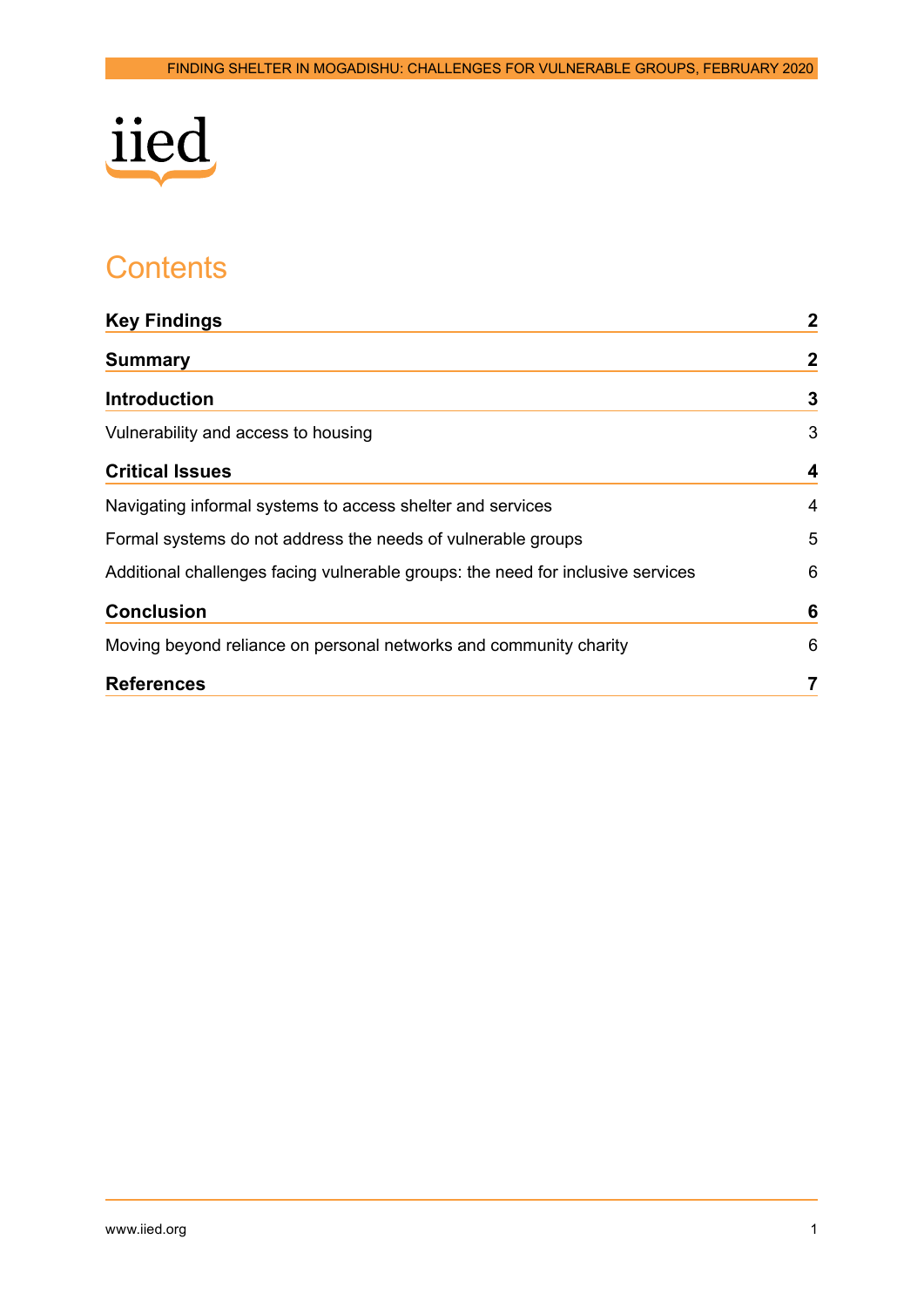

# **Contents**

| <b>Key Findings</b>                                                             | $\mathbf{2}$ |
|---------------------------------------------------------------------------------|--------------|
| <b>Summary</b>                                                                  | $\mathbf{2}$ |
| <b>Introduction</b>                                                             | $\mathbf{3}$ |
| Vulnerability and access to housing                                             | 3            |
| <b>Critical Issues</b>                                                          | 4            |
| Navigating informal systems to access shelter and services                      | 4            |
| Formal systems do not address the needs of vulnerable groups                    | 5            |
| Additional challenges facing vulnerable groups: the need for inclusive services | 6            |
| <b>Conclusion</b>                                                               | 6            |
| Moving beyond reliance on personal networks and community charity               | 6            |
| <b>References</b>                                                               |              |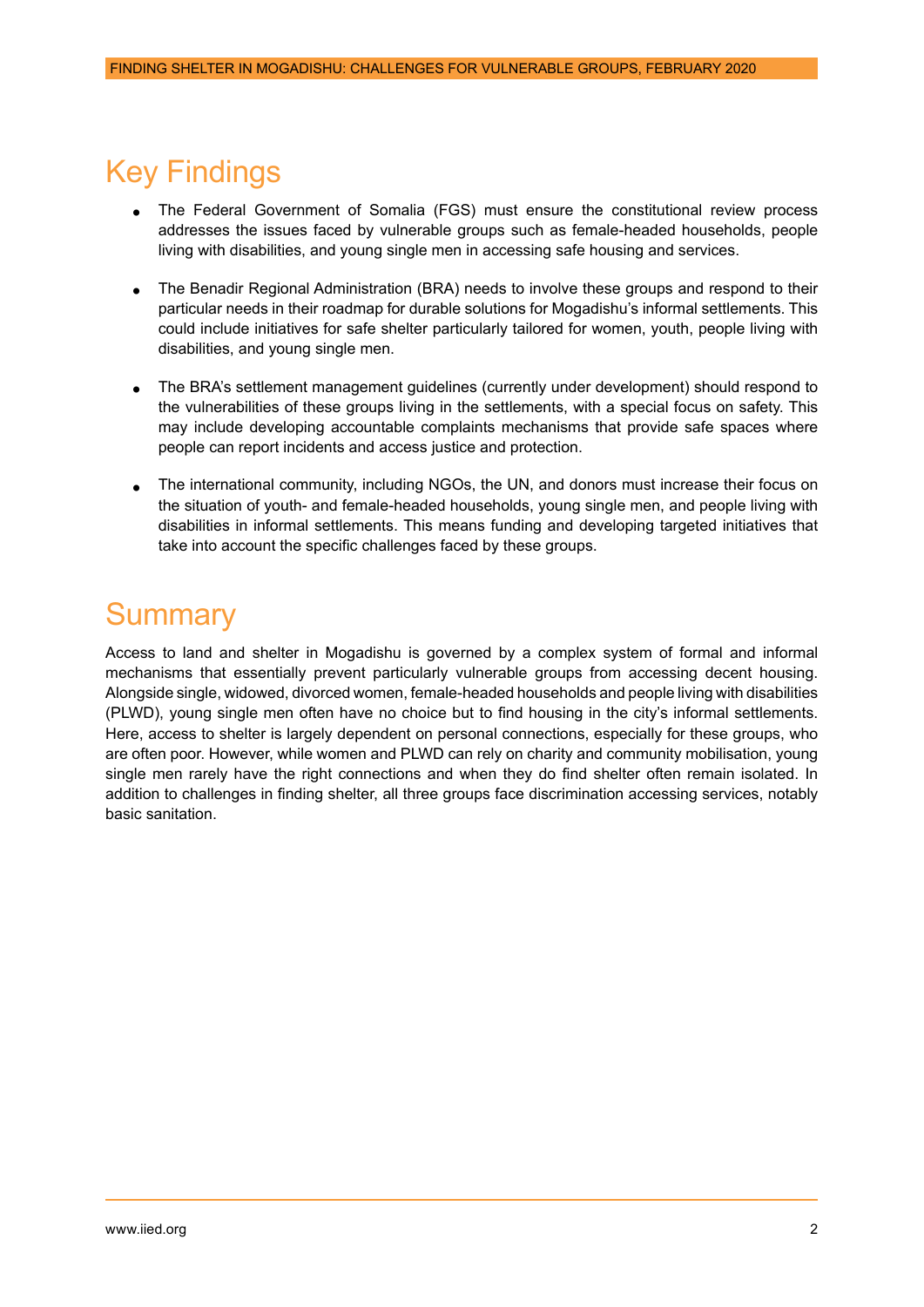## <span id="page-3-0"></span>Key Findings

- The Federal Government of Somalia (FGS) must ensure the constitutional review process addresses the issues faced by vulnerable groups such as female-headed households, people living with disabilities, and young single men in accessing safe housing and services.
- The Benadir Regional Administration (BRA) needs to involve these groups and respond to their particular needs in their roadmap for durable solutions for Mogadishu's informal settlements. This could include initiatives for safe shelter particularly tailored for women, youth, people living with disabilities, and young single men.
- The BRA's settlement management guidelines (currently under development) should respond to the vulnerabilities of these groups living in the settlements, with a special focus on safety. This may include developing accountable complaints mechanisms that provide safe spaces where people can report incidents and access justice and protection.
- The international community, including NGOs, the UN, and donors must increase their focus on the situation of youth- and female-headed households, young single men, and people living with disabilities in informal settlements. This means funding and developing targeted initiatives that take into account the specific challenges faced by these groups.

## **Summary**

Access to land and shelter in Mogadishu is governed by a complex system of formal and informal mechanisms that essentially prevent particularly vulnerable groups from accessing decent housing. Alongside single, widowed, divorced women, female-headed households and people living with disabilities (PLWD), young single men often have no choice but to find housing in the city's informal settlements. Here, access to shelter is largely dependent on personal connections, especially for these groups, who are often poor. However, while women and PLWD can rely on charity and community mobilisation, young single men rarely have the right connections and when they do find shelter often remain isolated. In addition to challenges in finding shelter, all three groups face discrimination accessing services, notably basic sanitation.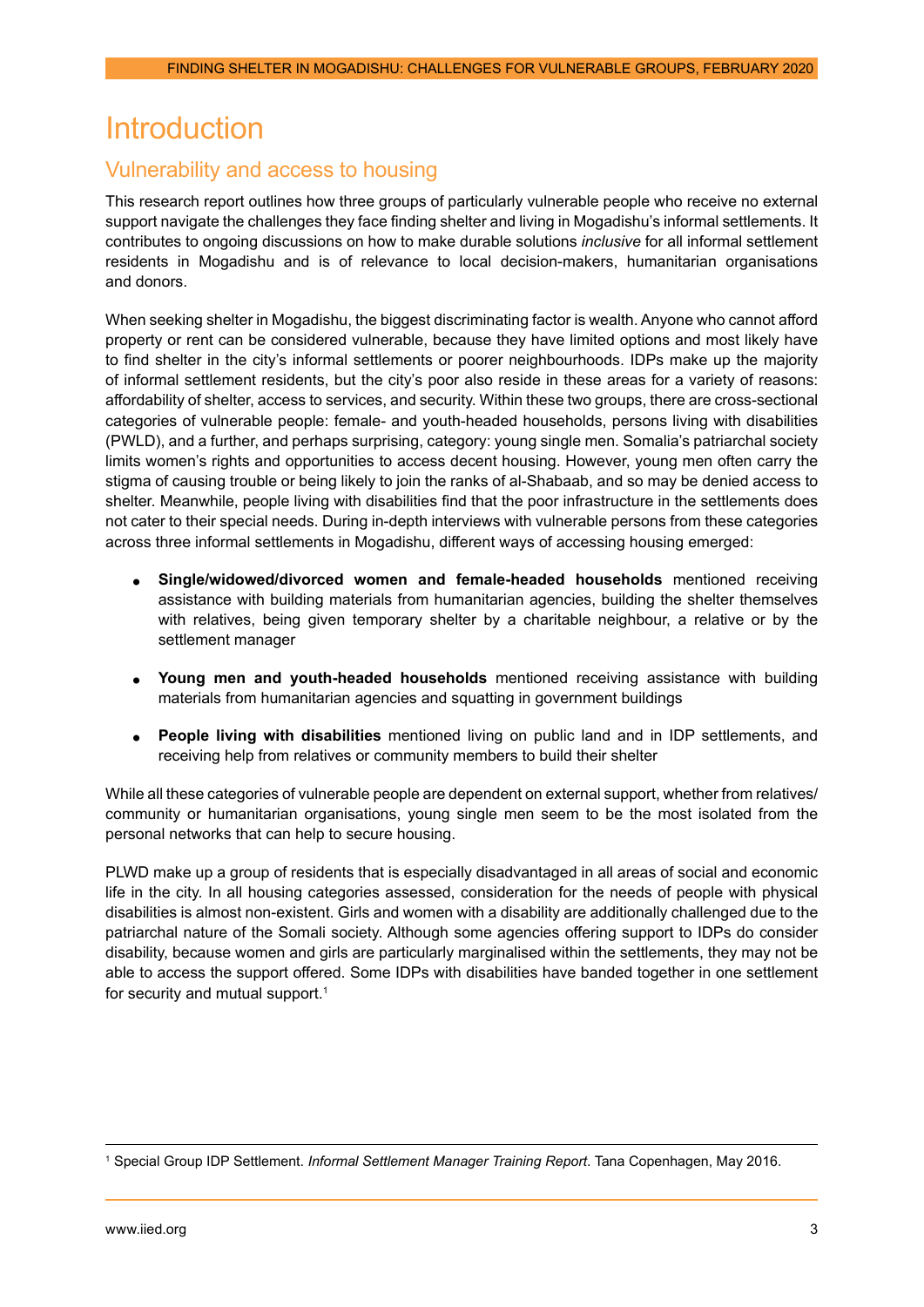## <span id="page-4-0"></span>**Introduction**

### Vulnerability and access to housing

This research report outlines how three groups of particularly vulnerable people who receive no external support navigate the challenges they face finding shelter and living in Mogadishu's informal settlements. It contributes to ongoing discussions on how to make durable solutions *inclusive* for all informal settlement residents in Mogadishu and is of relevance to local decision-makers, humanitarian organisations and donors.

When seeking shelter in Mogadishu, the biggest discriminating factor is wealth. Anyone who cannot afford property or rent can be considered vulnerable, because they have limited options and most likely have to find shelter in the city's informal settlements or poorer neighbourhoods. IDPs make up the majority of informal settlement residents, but the city's poor also reside in these areas for a variety of reasons: affordability of shelter, access to services, and security. Within these two groups, there are cross-sectional categories of vulnerable people: female- and youth-headed households, persons living with disabilities (PWLD), and a further, and perhaps surprising, category: young single men. Somalia's patriarchal society limits women's rights and opportunities to access decent housing. However, young men often carry the stigma of causing trouble or being likely to join the ranks of al-Shabaab, and so may be denied access to shelter. Meanwhile, people living with disabilities find that the poor infrastructure in the settlements does not cater to their special needs. During in-depth interviews with vulnerable persons from these categories across three informal settlements in Mogadishu, different ways of accessing housing emerged:

- **Single/widowed/divorced women and female-headed households** mentioned receiving assistance with building materials from humanitarian agencies, building the shelter themselves with relatives, being given temporary shelter by a charitable neighbour, a relative or by the settlement manager
- **Young men and youth-headed households** mentioned receiving assistance with building materials from humanitarian agencies and squatting in government buildings
- **People living with disabilities** mentioned living on public land and in IDP settlements, and receiving help from relatives or community members to build their shelter

While all these categories of vulnerable people are dependent on external support, whether from relatives/ community or humanitarian organisations, young single men seem to be the most isolated from the personal networks that can help to secure housing.

PLWD make up a group of residents that is especially disadvantaged in all areas of social and economic life in the city. In all housing categories assessed, consideration for the needs of people with physical disabilities is almost non-existent. Girls and women with a disability are additionally challenged due to the patriarchal nature of the Somali society. Although some agencies offering support to IDPs do consider disability, because women and girls are particularly marginalised within the settlements, they may not be able to access the support offered. Some IDPs with disabilities have banded together in one settlement for security and mutual support.<sup>1</sup>

<sup>1</sup> Special Group IDP Settlement. *Informal Settlement Manager Training Report*. Tana Copenhagen, May 2016.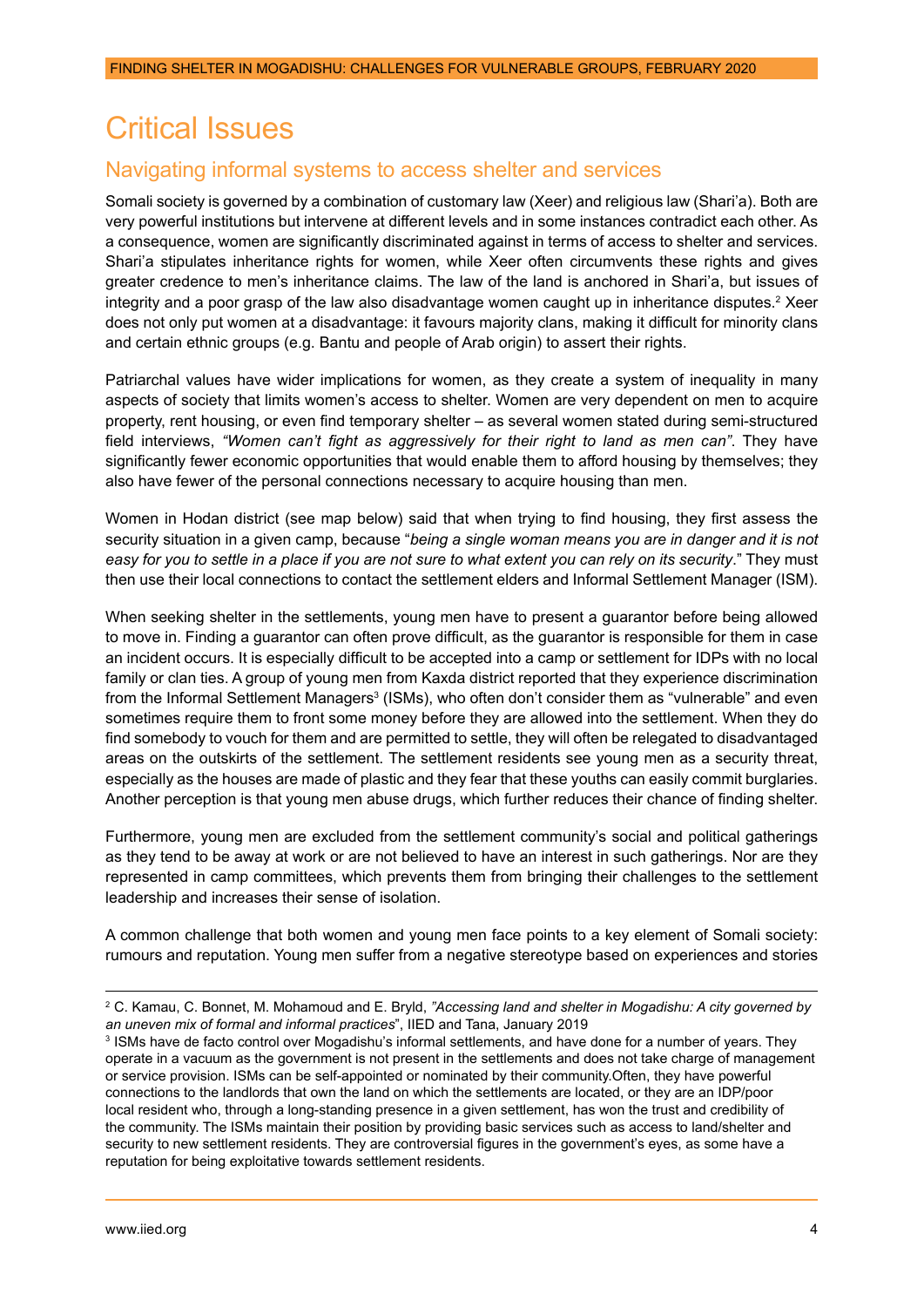# <span id="page-5-0"></span>Critical Issues

## Navigating informal systems to access shelter and services

Somali society is governed by a combination of customary law (Xeer) and religious law (Shari'a). Both are very powerful institutions but intervene at different levels and in some instances contradict each other. As a consequence, women are significantly discriminated against in terms of access to shelter and services. Shari'a stipulates inheritance rights for women, while Xeer often circumvents these rights and gives greater credence to men's inheritance claims. The law of the land is anchored in Shari'a, but issues of integrity and a poor grasp of the law also disadvantage women caught up in inheritance disputes.<sup>2</sup> Xeer does not only put women at a disadvantage: it favours majority clans, making it difficult for minority clans and certain ethnic groups (e.g. Bantu and people of Arab origin) to assert their rights.

Patriarchal values have wider implications for women, as they create a system of inequality in many aspects of society that limits women's access to shelter. Women are very dependent on men to acquire property, rent housing, or even find temporary shelter – as several women stated during semi-structured field interviews, *"Women can't fight as aggressively for their right to land as men can"*. They have significantly fewer economic opportunities that would enable them to afford housing by themselves; they also have fewer of the personal connections necessary to acquire housing than men.

Women in Hodan district (see map below) said that when trying to find housing, they first assess the security situation in a given camp, because "*being a single woman means you are in danger and it is not*  easy for you to settle in a place if you are not sure to what extent you can rely on its security." They must then use their local connections to contact the settlement elders and Informal Settlement Manager (ISM).

When seeking shelter in the settlements, young men have to present a guarantor before being allowed to move in. Finding a guarantor can often prove difficult, as the guarantor is responsible for them in case an incident occurs. It is especially difficult to be accepted into a camp or settlement for IDPs with no local family or clan ties. A group of young men from Kaxda district reported that they experience discrimination from the Informal Settlement Managers $^3$  (ISMs), who often don't consider them as "vulnerable" and even sometimes require them to front some money before they are allowed into the settlement. When they do find somebody to vouch for them and are permitted to settle, they will often be relegated to disadvantaged areas on the outskirts of the settlement. The settlement residents see young men as a security threat, especially as the houses are made of plastic and they fear that these youths can easily commit burglaries. Another perception is that young men abuse drugs, which further reduces their chance of finding shelter.

Furthermore, young men are excluded from the settlement community's social and political gatherings as they tend to be away at work or are not believed to have an interest in such gatherings. Nor are they represented in camp committees, which prevents them from bringing their challenges to the settlement leadership and increases their sense of isolation.

A common challenge that both women and young men face points to a key element of Somali society: rumours and reputation. Young men suffer from a negative stereotype based on experiences and stories

<sup>2</sup> C. Kamau, C. Bonnet, M. Mohamoud and E. Bryld, *"Accessing land and shelter in Mogadishu: A city governed by an uneven mix of formal and informal practices*", IIED and Tana, January 2019

<sup>3</sup> ISMs have de facto control over Mogadishu's informal settlements, and have done for a number of years. They operate in a vacuum as the government is not present in the settlements and does not take charge of management or service provision. ISMs can be self-appointed or nominated by their community.Often, they have powerful connections to the landlords that own the land on which the settlements are located, or they are an IDP/poor local resident who, through a long-standing presence in a given settlement, has won the trust and credibility of the community. The ISMs maintain their position by providing basic services such as access to land/shelter and security to new settlement residents. They are controversial figures in the government's eyes, as some have a reputation for being exploitative towards settlement residents.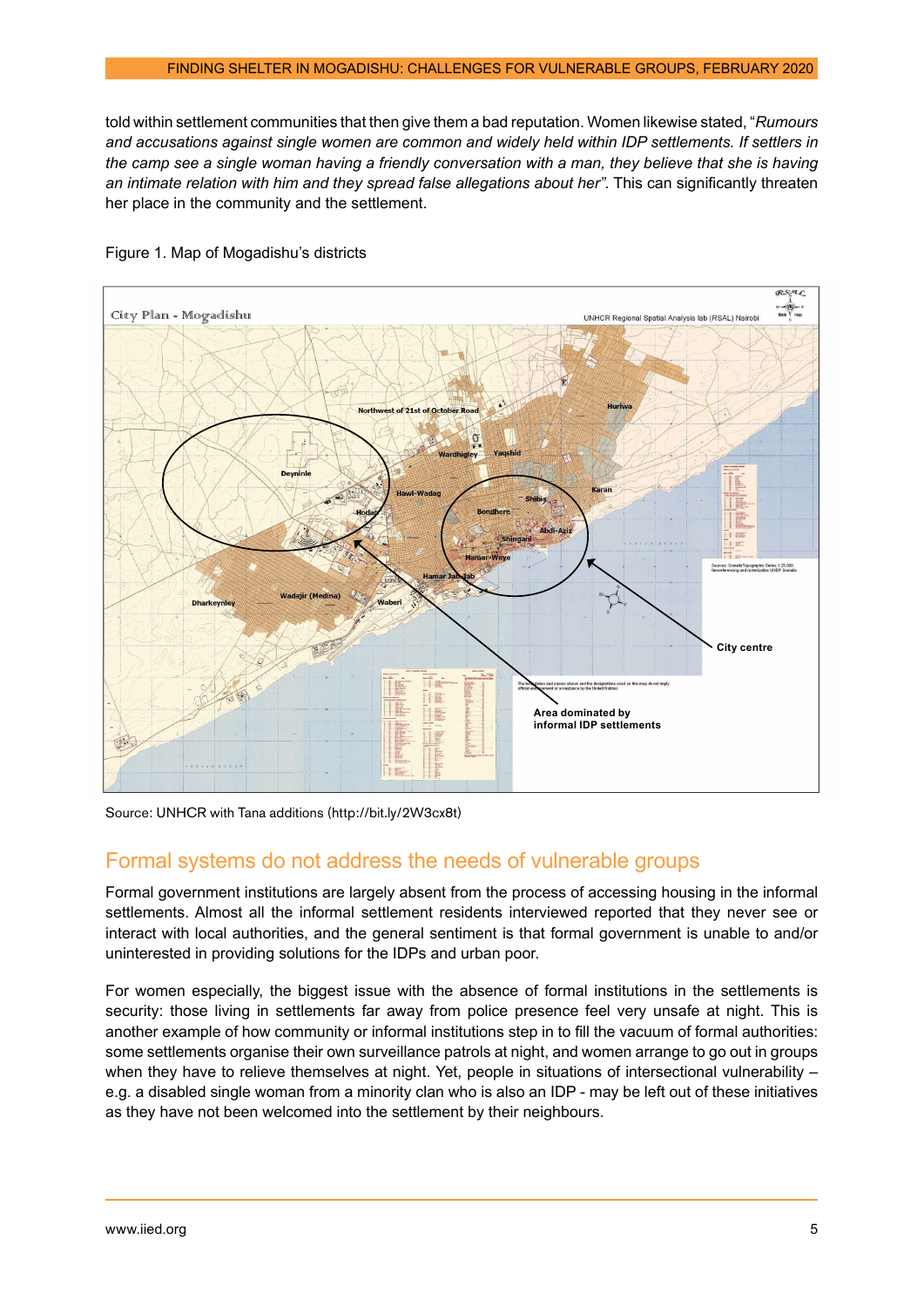<span id="page-6-0"></span>told within settlement communities that then give them a bad reputation. Women likewise stated, "*Rumours and accusations against single women are common and widely held within IDP settlements. If settlers in the camp see a single woman having a friendly conversation with a man, they believe that she is having an intimate relation with him and they spread false allegations about her"*. This can significantly threaten her place in the community and the settlement.



#### Figure 1. Map of Mogadishu's districts

Source: UNHCR with Tana additions ([http://bit.ly/2W3cx8t\)](http://bit.ly/2W3cx8t)

#### Formal systems do not address the needs of vulnerable groups

Formal government institutions are largely absent from the process of accessing housing in the informal settlements. Almost all the informal settlement residents interviewed reported that they never see or interact with local authorities, and the general sentiment is that formal government is unable to and/or uninterested in providing solutions for the IDPs and urban poor.

For women especially, the biggest issue with the absence of formal institutions in the settlements is security: those living in settlements far away from police presence feel very unsafe at night. This is another example of how community or informal institutions step in to fill the vacuum of formal authorities: some settlements organise their own surveillance patrols at night, and women arrange to go out in groups when they have to relieve themselves at night. Yet, people in situations of intersectional vulnerability – e.g. a disabled single woman from a minority clan who is also an IDP - may be left out of these initiatives as they have not been welcomed into the settlement by their neighbours.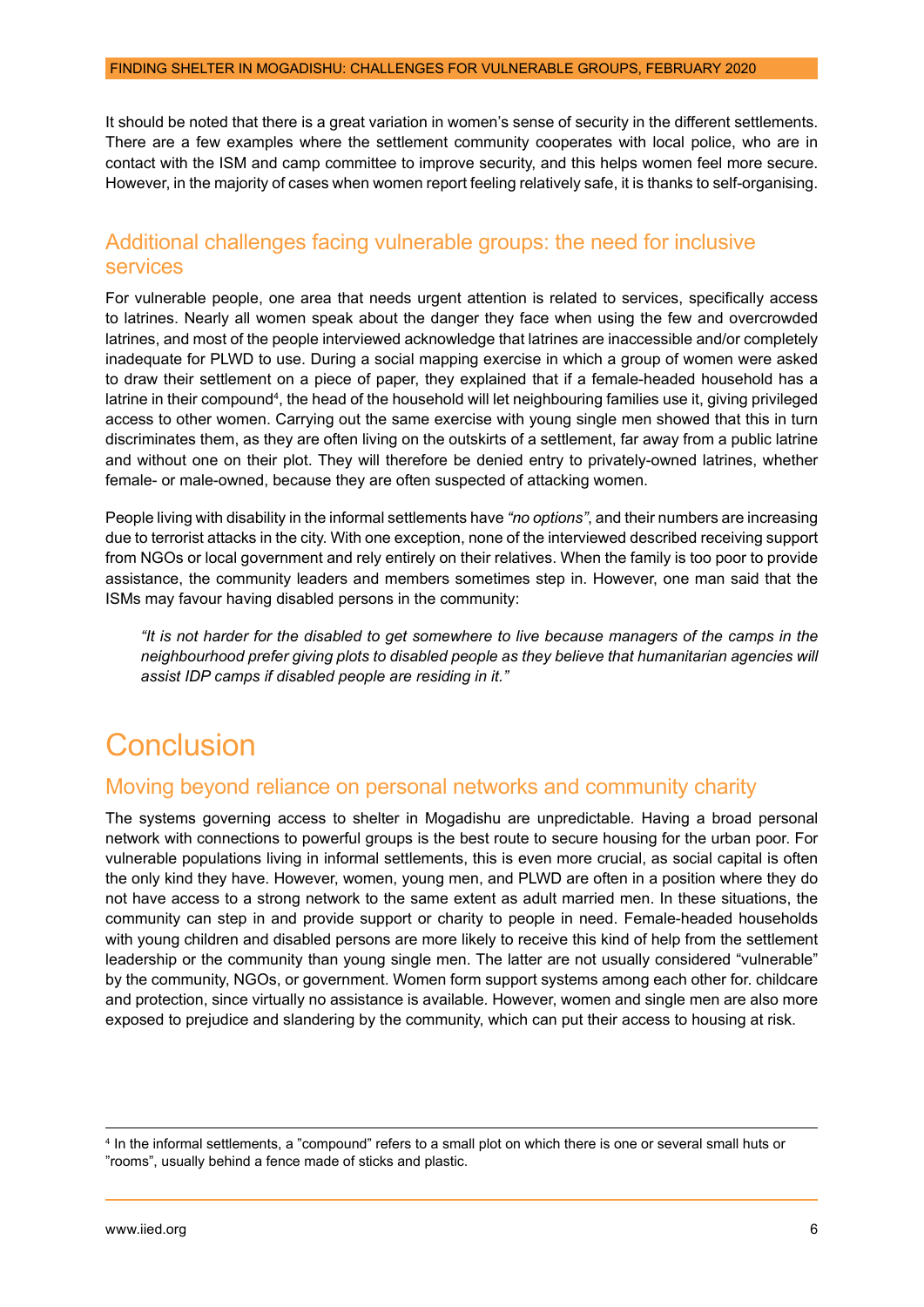<span id="page-7-0"></span>It should be noted that there is a great variation in women's sense of security in the different settlements. There are a few examples where the settlement community cooperates with local police, who are in contact with the ISM and camp committee to improve security, and this helps women feel more secure. However, in the majority of cases when women report feeling relatively safe, it is thanks to self-organising.

#### Additional challenges facing vulnerable groups: the need for inclusive services

For vulnerable people, one area that needs urgent attention is related to services, specifically access to latrines. Nearly all women speak about the danger they face when using the few and overcrowded latrines, and most of the people interviewed acknowledge that latrines are inaccessible and/or completely inadequate for PLWD to use. During a social mapping exercise in which a group of women were asked to draw their settlement on a piece of paper, they explained that if a female-headed household has a latrine in their compound<sup>4</sup>, the head of the household will let neighbouring families use it, giving privileged access to other women. Carrying out the same exercise with young single men showed that this in turn discriminates them, as they are often living on the outskirts of a settlement, far away from a public latrine and without one on their plot. They will therefore be denied entry to privately-owned latrines, whether female- or male-owned, because they are often suspected of attacking women.

People living with disability in the informal settlements have *"no options"*, and their numbers are increasing due to terrorist attacks in the city. With one exception, none of the interviewed described receiving support from NGOs or local government and rely entirely on their relatives. When the family is too poor to provide assistance, the community leaders and members sometimes step in. However, one man said that the ISMs may favour having disabled persons in the community:

*"It is not harder for the disabled to get somewhere to live because managers of the camps in the neighbourhood prefer giving plots to disabled people as they believe that humanitarian agencies will assist IDP camps if disabled people are residing in it."*

## Conclusion

#### Moving beyond reliance on personal networks and community charity

The systems governing access to shelter in Mogadishu are unpredictable. Having a broad personal network with connections to powerful groups is the best route to secure housing for the urban poor. For vulnerable populations living in informal settlements, this is even more crucial, as social capital is often the only kind they have. However, women, young men, and PLWD are often in a position where they do not have access to a strong network to the same extent as adult married men. In these situations, the community can step in and provide support or charity to people in need. Female-headed households with young children and disabled persons are more likely to receive this kind of help from the settlement leadership or the community than young single men. The latter are not usually considered "vulnerable" by the community, NGOs, or government. Women form support systems among each other for. childcare and protection, since virtually no assistance is available. However, women and single men are also more exposed to prejudice and slandering by the community, which can put their access to housing at risk.

<sup>4</sup> In the informal settlements, a "compound" refers to a small plot on which there is one or several small huts or "rooms", usually behind a fence made of sticks and plastic.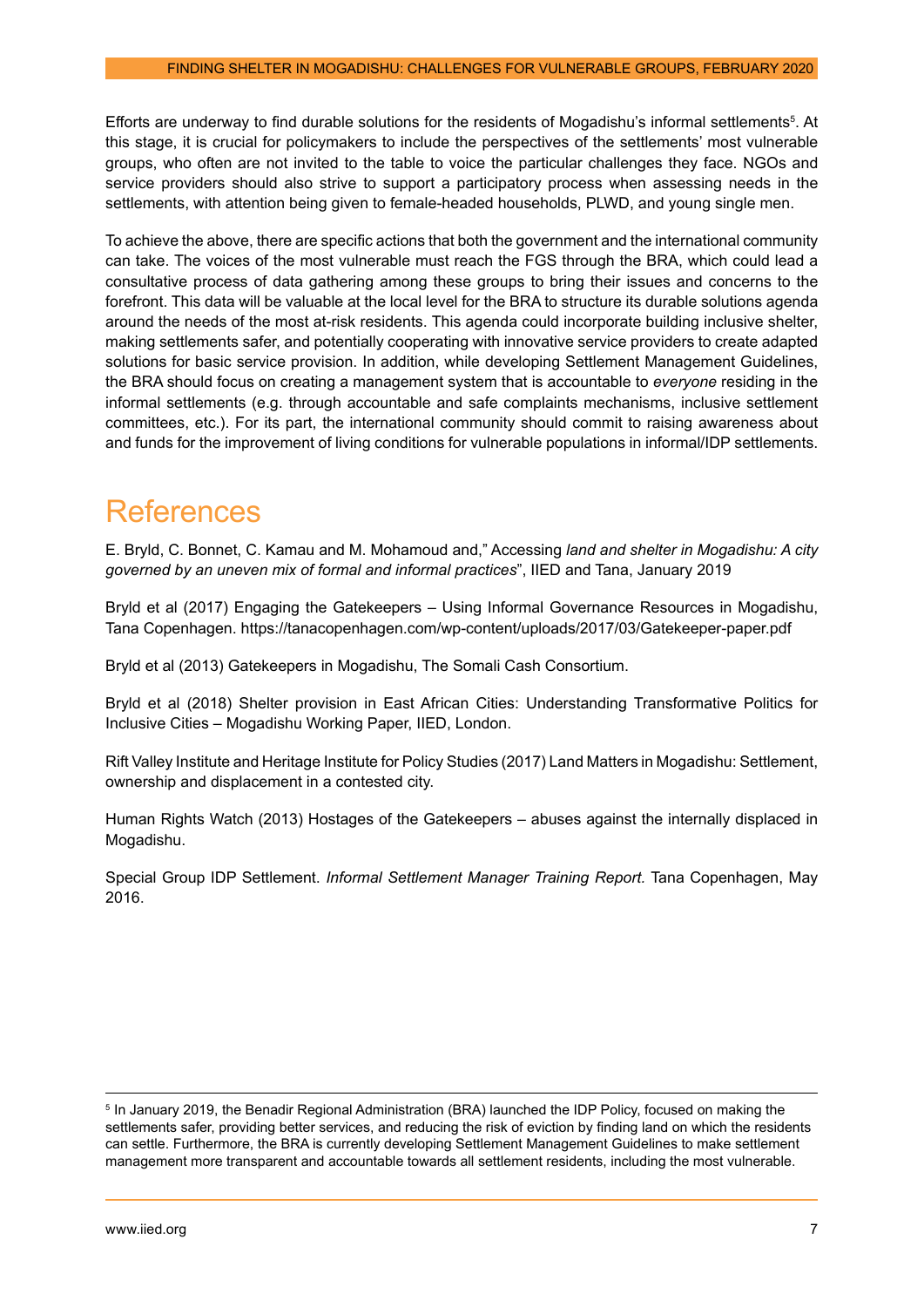<span id="page-8-0"></span>Efforts are underway to find durable solutions for the residents of Mogadishu's informal settlements<sup>5</sup>. At this stage, it is crucial for policymakers to include the perspectives of the settlements' most vulnerable groups, who often are not invited to the table to voice the particular challenges they face. NGOs and service providers should also strive to support a participatory process when assessing needs in the settlements, with attention being given to female-headed households, PLWD, and young single men.

To achieve the above, there are specific actions that both the government and the international community can take. The voices of the most vulnerable must reach the FGS through the BRA, which could lead a consultative process of data gathering among these groups to bring their issues and concerns to the forefront. This data will be valuable at the local level for the BRA to structure its durable solutions agenda around the needs of the most at-risk residents. This agenda could incorporate building inclusive shelter, making settlements safer, and potentially cooperating with innovative service providers to create adapted solutions for basic service provision. In addition, while developing Settlement Management Guidelines, the BRA should focus on creating a management system that is accountable to *everyone* residing in the informal settlements (e.g. through accountable and safe complaints mechanisms, inclusive settlement committees, etc.). For its part, the international community should commit to raising awareness about and funds for the improvement of living conditions for vulnerable populations in informal/IDP settlements.

## **References**

E. Bryld, C. Bonnet, C. Kamau and M. Mohamoud and," Accessing *land and shelter in Mogadishu: A city governed by an uneven mix of formal and informal practices*", IIED and Tana, January 2019

Bryld et al (2017) Engaging the Gatekeepers – Using Informal Governance Resources in Mogadishu, Tana Copenhagen.<https://tanacopenhagen.com/wp-content/uploads/2017/03/Gatekeeper-paper.pdf>

Bryld et al (2013) Gatekeepers in Mogadishu, The Somali Cash Consortium.

Bryld et al (2018) Shelter provision in East African Cities: Understanding Transformative Politics for Inclusive Cities – Mogadishu Working Paper, IIED, London.

Rift Valley Institute and Heritage Institute for Policy Studies (2017) Land Matters in Mogadishu: Settlement, ownership and displacement in a contested city.

Human Rights Watch (2013) Hostages of the Gatekeepers – abuses against the internally displaced in Mogadishu.

Special Group IDP Settlement. *Informal Settlement Manager Training Report.* Tana Copenhagen, May 2016.

<sup>5</sup> In January 2019, the Benadir Regional Administration (BRA) launched the IDP Policy, focused on making the settlements safer, providing better services, and reducing the risk of eviction by finding land on which the residents can settle. Furthermore, the BRA is currently developing Settlement Management Guidelines to make settlement management more transparent and accountable towards all settlement residents, including the most vulnerable.